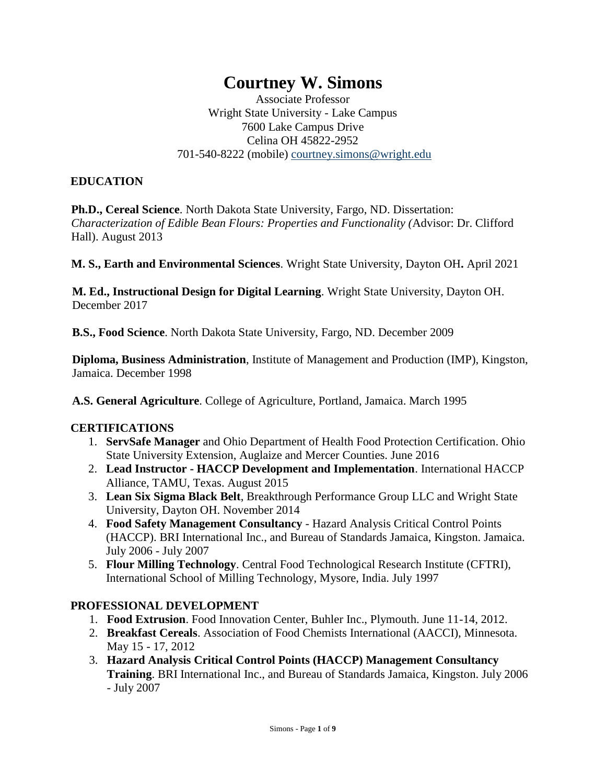# **Courtney W. Simons**

Associate Professor Wright State University - Lake Campus 7600 Lake Campus Drive Celina OH 45822-2952 701-540-8222 (mobile) courtney.simons@wright.edu

#### **EDUCATION**

**Ph.D., Cereal Science**. North Dakota State University, Fargo, ND. Dissertation: *Characterization of Edible Bean Flours: Properties and Functionality (*Advisor: Dr. Clifford Hall). August 2013

**M. S., Earth and Environmental Sciences**. Wright State University, Dayton OH**.** April 2021

**M. Ed., Instructional Design for Digital Learning**. Wright State University, Dayton OH. December 2017

**B.S., Food Science**. North Dakota State University, Fargo, ND. December 2009

**Diploma, Business Administration**, Institute of Management and Production (IMP), Kingston, Jamaica. December 1998

**A.S. General Agriculture**. College of Agriculture, Portland, Jamaica. March 1995

#### **CERTIFICATIONS**

- 1. **ServSafe Manager** and Ohio Department of Health Food Protection Certification. Ohio State University Extension, Auglaize and Mercer Counties. June 2016
- 2. **Lead Instructor - HACCP Development and Implementation**. International HACCP Alliance, TAMU, Texas. August 2015
- 3. **Lean Six Sigma Black Belt**, Breakthrough Performance Group LLC and Wright State University, Dayton OH. November 2014
- 4. **Food Safety Management Consultancy** Hazard Analysis Critical Control Points (HACCP). BRI International Inc., and Bureau of Standards Jamaica, Kingston. Jamaica. July 2006 - July 2007
- 5. **Flour Milling Technology**. Central Food Technological Research Institute (CFTRI), International School of Milling Technology, Mysore, India. July 1997

#### **PROFESSIONAL DEVELOPMENT**

- 1. **Food Extrusion**. Food Innovation Center, Buhler Inc., Plymouth. June 11-14, 2012.
- 2. **Breakfast Cereals**. Association of Food Chemists International (AACCI), Minnesota. May 15 - 17, 2012
- 3. **Hazard Analysis Critical Control Points (HACCP) Management Consultancy Training**. BRI International Inc., and Bureau of Standards Jamaica, Kingston. July 2006 - July 2007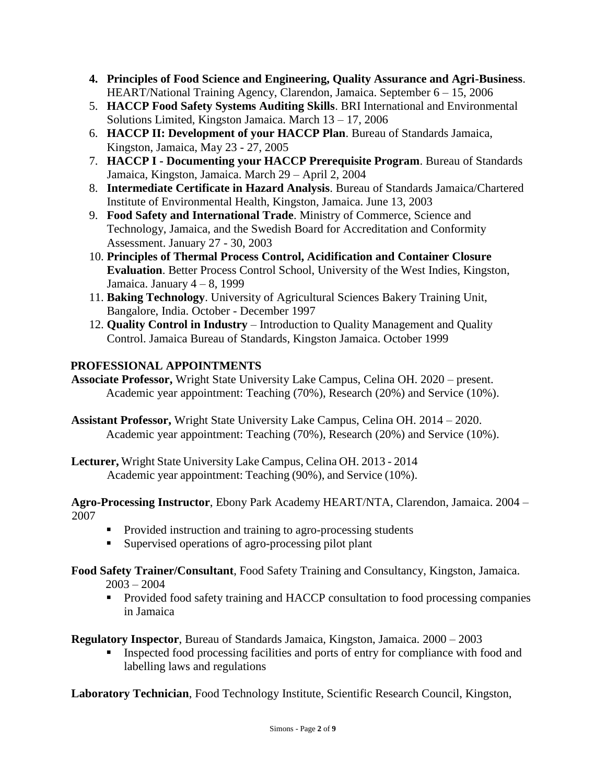- **4. Principles of Food Science and Engineering, Quality Assurance and Agri-Business**. HEART/National Training Agency, Clarendon, Jamaica. September 6 – 15, 2006
- 5. **HACCP Food Safety Systems Auditing Skills**. BRI International and Environmental Solutions Limited, Kingston Jamaica. March 13 – 17, 2006
- 6. **HACCP II: Development of your HACCP Plan**. Bureau of Standards Jamaica, Kingston, Jamaica, May 23 - 27, 2005
- 7. **HACCP I - Documenting your HACCP Prerequisite Program**. Bureau of Standards Jamaica, Kingston, Jamaica. March 29 – April 2, 2004
- 8. **Intermediate Certificate in Hazard Analysis**. Bureau of Standards Jamaica/Chartered Institute of Environmental Health, Kingston, Jamaica. June 13, 2003
- 9. **Food Safety and International Trade**. Ministry of Commerce, Science and Technology, Jamaica, and the Swedish Board for Accreditation and Conformity Assessment. January 27 - 30, 2003
- 10. **Principles of Thermal Process Control, Acidification and Container Closure Evaluation**. Better Process Control School, University of the West Indies, Kingston, Jamaica. January 4 – 8, 1999
- 11. **Baking Technology**. University of Agricultural Sciences Bakery Training Unit, Bangalore, India. October - December 1997
- 12. **Quality Control in Industry** Introduction to Quality Management and Quality Control. Jamaica Bureau of Standards, Kingston Jamaica. October 1999

# **PROFESSIONAL APPOINTMENTS**

- **Associate Professor,** Wright State University Lake Campus, Celina OH. 2020 present. Academic year appointment: Teaching (70%), Research (20%) and Service (10%).
- **Assistant Professor,** Wright State University Lake Campus, Celina OH. 2014 2020. Academic year appointment: Teaching (70%), Research (20%) and Service (10%).
- **Lecturer,** Wright State University Lake Campus, Celina OH. 2013 2014 Academic year appointment: Teaching (90%), and Service (10%).

**Agro-Processing Instructor**, Ebony Park Academy HEART/NTA, Clarendon, Jamaica. 2004 – 2007

- Provided instruction and training to agro-processing students
- Supervised operations of agro-processing pilot plant
- **Food Safety Trainer/Consultant**, Food Safety Training and Consultancy, Kingston, Jamaica.  $2003 - 2004$ 
	- Provided food safety training and HACCP consultation to food processing companies in Jamaica

**Regulatory Inspector**, Bureau of Standards Jamaica, Kingston, Jamaica. 2000 – 2003

**Exercise** Inspected food processing facilities and ports of entry for compliance with food and labelling laws and regulations

**Laboratory Technician**, Food Technology Institute, Scientific Research Council, Kingston,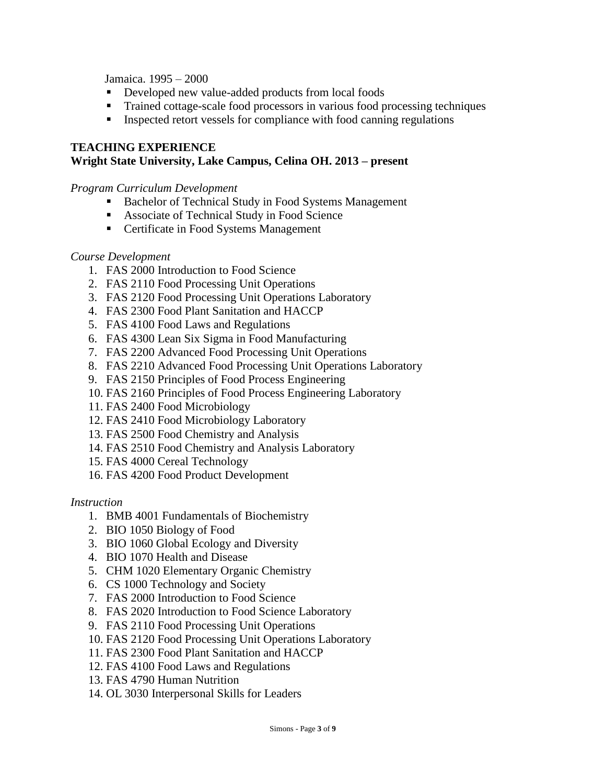Jamaica. 1995 – 2000

- Developed new value-added products from local foods
- Trained cottage-scale food processors in various food processing techniques
- Inspected retort vessels for compliance with food canning regulations

#### **TEACHING EXPERIENCE Wright State University, Lake Campus, Celina OH. 2013 – present**

#### *Program Curriculum Development*

- Bachelor of Technical Study in Food Systems Management
- Associate of Technical Study in Food Science
- Certificate in Food Systems Management

#### *Course Development*

- 1. FAS 2000 Introduction to Food Science
- 2. FAS 2110 Food Processing Unit Operations
- 3. FAS 2120 Food Processing Unit Operations Laboratory
- 4. FAS 2300 Food Plant Sanitation and HACCP
- 5. FAS 4100 Food Laws and Regulations
- 6. FAS 4300 Lean Six Sigma in Food Manufacturing
- 7. FAS 2200 Advanced Food Processing Unit Operations
- 8. FAS 2210 Advanced Food Processing Unit Operations Laboratory
- 9. FAS 2150 Principles of Food Process Engineering
- 10. FAS 2160 Principles of Food Process Engineering Laboratory
- 11. FAS 2400 Food Microbiology
- 12. FAS 2410 Food Microbiology Laboratory
- 13. FAS 2500 Food Chemistry and Analysis
- 14. FAS 2510 Food Chemistry and Analysis Laboratory
- 15. FAS 4000 Cereal Technology
- 16. FAS 4200 Food Product Development

#### *Instruction*

- 1. BMB 4001 Fundamentals of Biochemistry
- 2. BIO 1050 Biology of Food
- 3. BIO 1060 Global Ecology and Diversity
- 4. BIO 1070 Health and Disease
- 5. CHM 1020 Elementary Organic Chemistry
- 6. CS 1000 Technology and Society
- 7. FAS 2000 Introduction to Food Science
- 8. FAS 2020 Introduction to Food Science Laboratory
- 9. FAS 2110 Food Processing Unit Operations
- 10. FAS 2120 Food Processing Unit Operations Laboratory
- 11. FAS 2300 Food Plant Sanitation and HACCP
- 12. FAS 4100 Food Laws and Regulations
- 13. FAS 4790 Human Nutrition
- 14. OL 3030 Interpersonal Skills for Leaders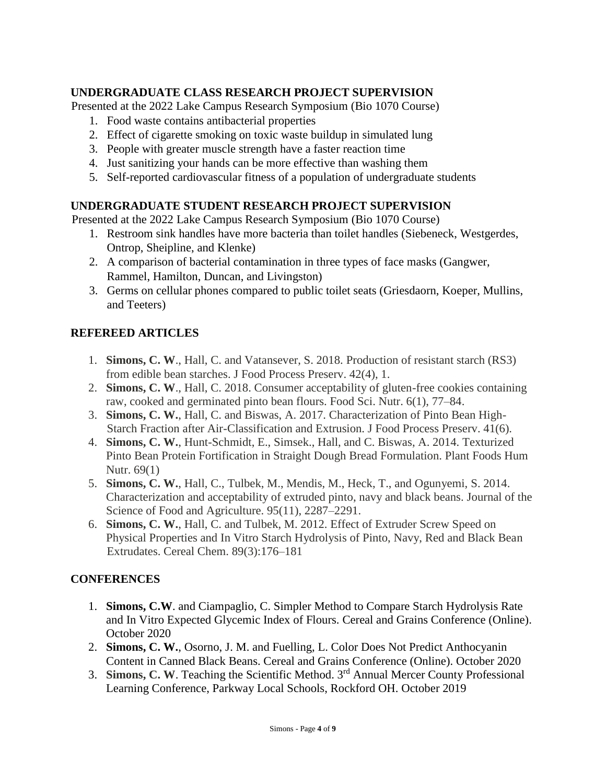# **UNDERGRADUATE CLASS RESEARCH PROJECT SUPERVISION**

Presented at the 2022 Lake Campus Research Symposium (Bio 1070 Course)

- 1. Food waste contains antibacterial properties
- 2. Effect of cigarette smoking on toxic waste buildup in simulated lung
- 3. People with greater muscle strength have a faster reaction time
- 4. Just sanitizing your hands can be more effective than washing them
- 5. Self-reported cardiovascular fitness of a population of undergraduate students

## **UNDERGRADUATE STUDENT RESEARCH PROJECT SUPERVISION**

Presented at the 2022 Lake Campus Research Symposium (Bio 1070 Course)

- 1. Restroom sink handles have more bacteria than toilet handles (Siebeneck, Westgerdes, Ontrop, Sheipline, and Klenke)
- 2. A comparison of bacterial contamination in three types of face masks (Gangwer, Rammel, Hamilton, Duncan, and Livingston)
- 3. Germs on cellular phones compared to public toilet seats (Griesdaorn, Koeper, Mullins, and Teeters)

## **REFEREED ARTICLES**

- 1. **Simons, C. W**., Hall, C. and Vatansever, S. 2018. Production of resistant starch (RS3) from edible bean starches. J Food Process Preserv. 42(4), 1.
- 2. **Simons, C. W**., Hall, C. 2018. Consumer acceptability of gluten-free cookies containing raw, cooked and germinated pinto bean flours. Food Sci. Nutr. 6(1), 77–84.
- 3. **Simons, C. W.**, Hall, C. and Biswas, A. 2017. Characterization of Pinto Bean High-Starch Fraction after Air-Classification and Extrusion. J Food Process Preserv. 41(6).
- 4. **Simons, C. W.**, Hunt-Schmidt, E., Simsek., Hall, and C. Biswas, A. 2014. Texturized Pinto Bean Protein Fortification in Straight Dough Bread Formulation. Plant Foods Hum Nutr. 69(1)
- 5. **Simons, C. W.**, Hall, C., Tulbek, M., Mendis, M., Heck, T., and Ogunyemi, S. 2014. Characterization and acceptability of extruded pinto, navy and black beans. Journal of the Science of Food and Agriculture. 95(11), 2287–2291.
- 6. **Simons, C. W.**, Hall, C. and Tulbek, M. 2012. Effect of Extruder Screw Speed on Physical Properties and In Vitro Starch Hydrolysis of Pinto, Navy, Red and Black Bean Extrudates. Cereal Chem. 89(3):176–181

## **CONFERENCES**

- 1. **Simons, C.W**. and Ciampaglio, C. Simpler Method to Compare Starch Hydrolysis Rate and In Vitro Expected Glycemic Index of Flours. Cereal and Grains Conference (Online). October 2020
- 2. **Simons, C. W.**, Osorno, J. M. and Fuelling, L. Color Does Not Predict Anthocyanin Content in Canned Black Beans. Cereal and Grains Conference (Online). October 2020
- 3. **Simons, C. W**. Teaching the Scientific Method. 3rd Annual Mercer County Professional Learning Conference, Parkway Local Schools, Rockford OH. October 2019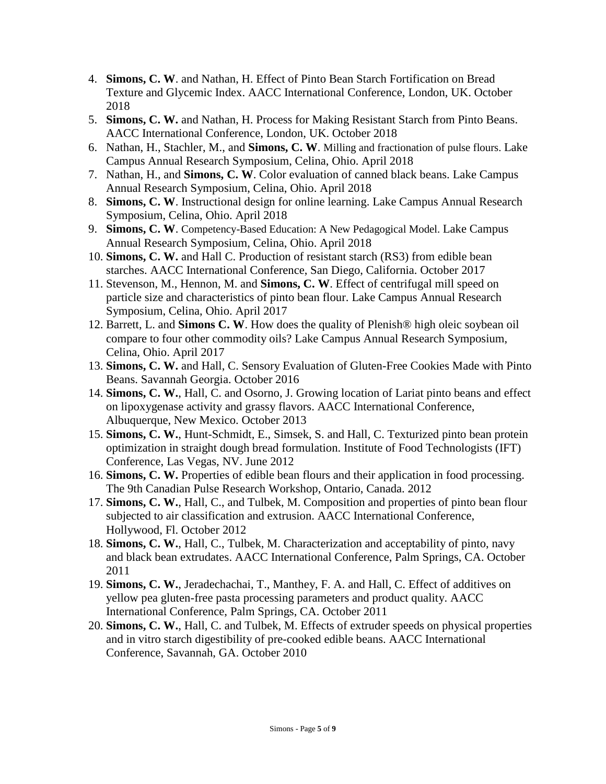- 4. **Simons, C. W**. and Nathan, H. Effect of Pinto Bean Starch Fortification on Bread Texture and Glycemic Index. AACC International Conference, London, UK. October 2018
- 5. **Simons, C. W.** and Nathan, H. Process for Making Resistant Starch from Pinto Beans. AACC International Conference, London, UK. October 2018
- 6. Nathan, H., Stachler, M., and **Simons, C. W**. Milling and fractionation of pulse flours. Lake Campus Annual Research Symposium, Celina, Ohio. April 2018
- 7. Nathan, H., and **Simons, C. W**. Color evaluation of canned black beans. Lake Campus Annual Research Symposium, Celina, Ohio. April 2018
- 8. **Simons, C. W**. Instructional design for online learning. Lake Campus Annual Research Symposium, Celina, Ohio. April 2018
- 9. **Simons, C. W**. Competency-Based Education: A New Pedagogical Model. Lake Campus Annual Research Symposium, Celina, Ohio. April 2018
- 10. **Simons, C. W.** and Hall C. Production of resistant starch (RS3) from edible bean starches. AACC International Conference, San Diego, California. October 2017
- 11. Stevenson, M., Hennon, M. and **Simons, C. W**. Effect of centrifugal mill speed on particle size and characteristics of pinto bean flour. Lake Campus Annual Research Symposium, Celina, Ohio. April 2017
- 12. Barrett, L. and **Simons C. W**. How does the quality of Plenish® high oleic soybean oil compare to four other commodity oils? Lake Campus Annual Research Symposium, Celina, Ohio. April 2017
- 13. **Simons, C. W.** and Hall, C. Sensory Evaluation of Gluten-Free Cookies Made with Pinto Beans. Savannah Georgia. October 2016
- 14. **Simons, C. W.**, Hall, C. and Osorno, J. Growing location of Lariat pinto beans and effect on lipoxygenase activity and grassy flavors. AACC International Conference, Albuquerque, New Mexico. October 2013
- 15. **Simons, C. W.**, Hunt-Schmidt, E., Simsek, S. and Hall, C. Texturized pinto bean protein optimization in straight dough bread formulation. Institute of Food Technologists (IFT) Conference, Las Vegas, NV. June 2012
- 16. **Simons, C. W.** Properties of edible bean flours and their application in food processing. The 9th Canadian Pulse Research Workshop, Ontario, Canada. 2012
- 17. **Simons, C. W.**, Hall, C., and Tulbek, M. Composition and properties of pinto bean flour subjected to air classification and extrusion. AACC International Conference, Hollywood, Fl. October 2012
- 18. **Simons, C. W.**, Hall, C., Tulbek, M. Characterization and acceptability of pinto, navy and black bean extrudates. AACC International Conference, Palm Springs, CA. October 2011
- 19. **Simons, C. W.**, Jeradechachai, T., Manthey, F. A. and Hall, C. Effect of additives on yellow pea gluten-free pasta processing parameters and product quality. AACC International Conference, Palm Springs, CA. October 2011
- 20. **Simons, C. W.**, Hall, C. and Tulbek, M. Effects of extruder speeds on physical properties and in vitro starch digestibility of pre-cooked edible beans. AACC International Conference, Savannah, GA. October 2010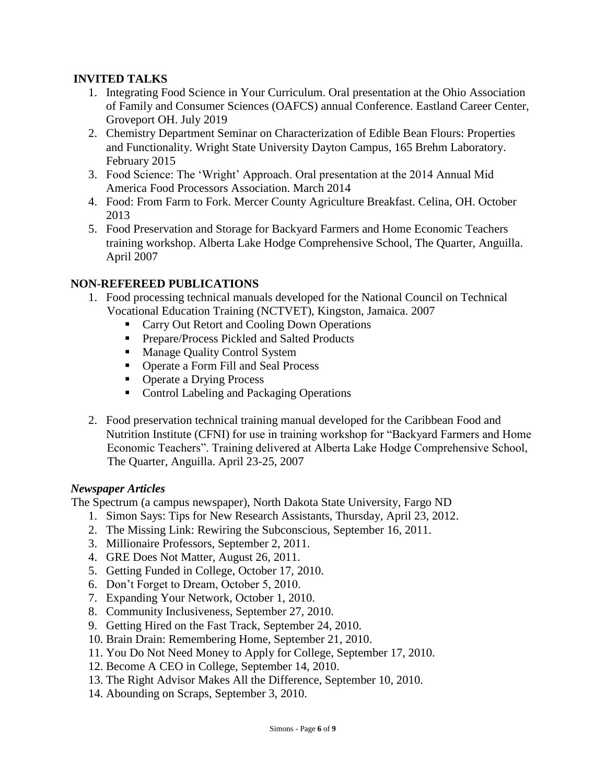## **INVITED TALKS**

- 1. Integrating Food Science in Your Curriculum. Oral presentation at the Ohio Association of Family and Consumer Sciences (OAFCS) annual Conference. Eastland Career Center, Groveport OH. July 2019
- 2. Chemistry Department Seminar on Characterization of Edible Bean Flours: Properties and Functionality. Wright State University Dayton Campus, 165 Brehm Laboratory. February 2015
- 3. Food Science: The 'Wright' Approach. Oral presentation at the 2014 Annual Mid America Food Processors Association. March 2014
- 4. Food: From Farm to Fork. Mercer County Agriculture Breakfast. Celina, OH. October 2013
- 5. Food Preservation and Storage for Backyard Farmers and Home Economic Teachers training workshop. Alberta Lake Hodge Comprehensive School, The Quarter, Anguilla. April 2007

#### **NON-REFEREED PUBLICATIONS**

- 1. Food processing technical manuals developed for the National Council on Technical Vocational Education Training (NCTVET), Kingston, Jamaica. 2007
	- Carry Out Retort and Cooling Down Operations
	- Prepare/Process Pickled and Salted Products
	- Manage Quality Control System
	- Operate a Form Fill and Seal Process
	- Operate a Drying Process
	- Control Labeling and Packaging Operations
- 2. Food preservation technical training manual developed for the Caribbean Food and Nutrition Institute (CFNI) for use in training workshop for "Backyard Farmers and Home Economic Teachers". Training delivered at Alberta Lake Hodge Comprehensive School, The Quarter, Anguilla. April 23-25, 2007

#### *Newspaper Articles*

The Spectrum (a campus newspaper), North Dakota State University, Fargo ND

- 1. Simon Says: Tips for New Research Assistants, Thursday, April 23, 2012.
- 2. The Missing Link: Rewiring the Subconscious, September 16, 2011.
- 3. Millionaire Professors, September 2, 2011.
- 4. GRE Does Not Matter, August 26, 2011.
- 5. Getting Funded in College, October 17, 2010.
- 6. Don't Forget to Dream, October 5, 2010.
- 7. Expanding Your Network, October 1, 2010.
- 8. Community Inclusiveness, September 27, 2010.
- 9. Getting Hired on the Fast Track, September 24, 2010.
- 10. Brain Drain: Remembering Home, September 21, 2010.
- 11. You Do Not Need Money to Apply for College, September 17, 2010.
- 12. Become A CEO in College, September 14, 2010.
- 13. The Right Advisor Makes All the Difference, September 10, 2010.
- 14. Abounding on Scraps, September 3, 2010.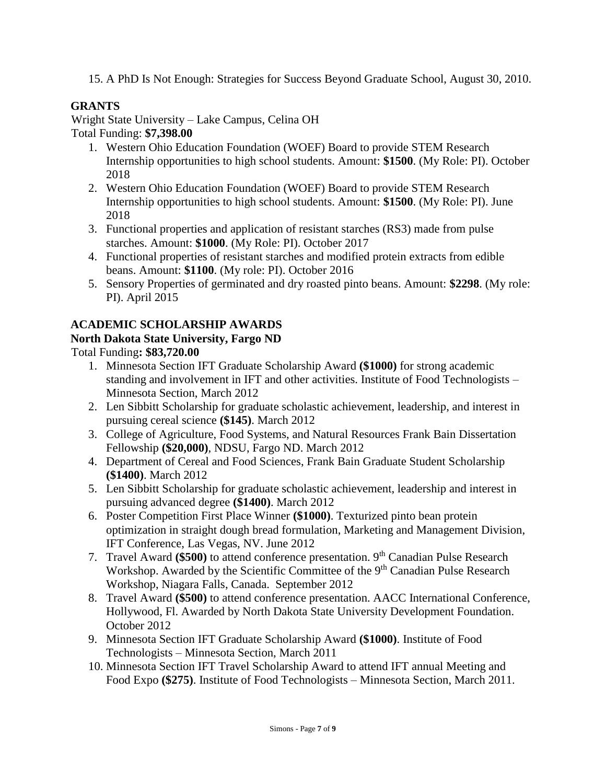15. A PhD Is Not Enough: Strategies for Success Beyond Graduate School, August 30, 2010.

# **GRANTS**

Wright State University – Lake Campus, Celina OH Total Funding: **\$7,398.00**

- 1. Western Ohio Education Foundation (WOEF) Board to provide STEM Research Internship opportunities to high school students. Amount: **\$1500**. (My Role: PI). October 2018
- 2. Western Ohio Education Foundation (WOEF) Board to provide STEM Research Internship opportunities to high school students. Amount: **\$1500**. (My Role: PI). June 2018
- 3. Functional properties and application of resistant starches (RS3) made from pulse starches. Amount: **\$1000**. (My Role: PI). October 2017
- 4. Functional properties of resistant starches and modified protein extracts from edible beans. Amount: **\$1100**. (My role: PI). October 2016
- 5. Sensory Properties of germinated and dry roasted pinto beans. Amount: **\$2298**. (My role: PI). April 2015

## **ACADEMIC SCHOLARSHIP AWARDS**

## **North Dakota State University, Fargo ND**

Total Funding**: \$83,720.00** 

- 1. Minnesota Section IFT Graduate Scholarship Award **(\$1000)** for strong academic standing and involvement in IFT and other activities. Institute of Food Technologists – Minnesota Section, March 2012
- 2. Len Sibbitt Scholarship for graduate scholastic achievement, leadership, and interest in pursuing cereal science **(\$145)**. March 2012
- 3. College of Agriculture, Food Systems, and Natural Resources Frank Bain Dissertation Fellowship **(\$20,000)**, NDSU, Fargo ND. March 2012
- 4. Department of Cereal and Food Sciences, Frank Bain Graduate Student Scholarship **(\$1400)**. March 2012
- 5. Len Sibbitt Scholarship for graduate scholastic achievement, leadership and interest in pursuing advanced degree **(\$1400)**. March 2012
- 6. Poster Competition First Place Winner **(\$1000)**. Texturized pinto bean protein optimization in straight dough bread formulation, Marketing and Management Division, IFT Conference, Las Vegas, NV. June 2012
- 7. Travel Award (\$500) to attend conference presentation. 9<sup>th</sup> Canadian Pulse Research Workshop. Awarded by the Scientific Committee of the 9<sup>th</sup> Canadian Pulse Research Workshop, Niagara Falls, Canada. September 2012
- 8. Travel Award **(\$500)** to attend conference presentation. AACC International Conference, Hollywood, Fl. Awarded by North Dakota State University Development Foundation. October 2012
- 9. Minnesota Section IFT Graduate Scholarship Award **(\$1000)**. Institute of Food Technologists – Minnesota Section, March 2011
- 10. Minnesota Section IFT Travel Scholarship Award to attend IFT annual Meeting and Food Expo **(\$275)**. Institute of Food Technologists – Minnesota Section, March 2011.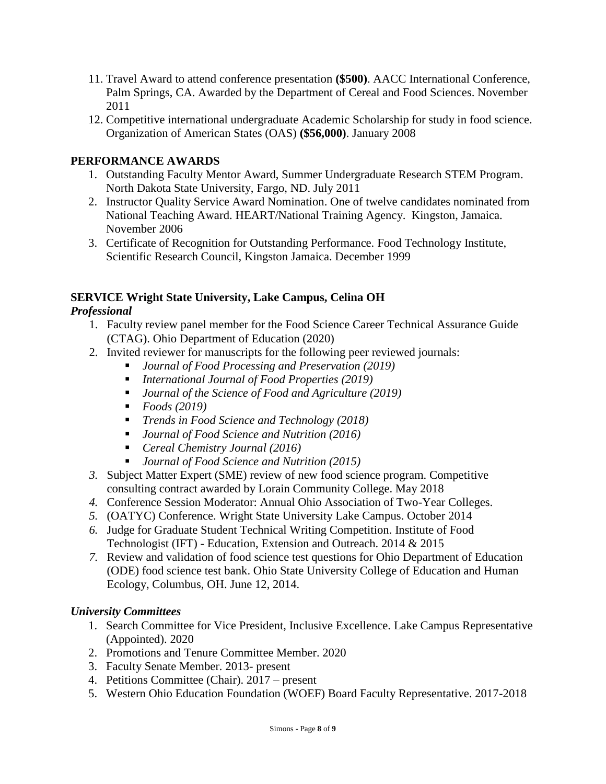- 11. Travel Award to attend conference presentation **(\$500)**. AACC International Conference, Palm Springs, CA. Awarded by the Department of Cereal and Food Sciences. November 2011
- 12. Competitive international undergraduate Academic Scholarship for study in food science. Organization of American States (OAS) **(\$56,000)**. January 2008

#### **PERFORMANCE AWARDS**

- 1. Outstanding Faculty Mentor Award, Summer Undergraduate Research STEM Program. North Dakota State University, Fargo, ND. July 2011
- 2. Instructor Quality Service Award Nomination. One of twelve candidates nominated from National Teaching Award. HEART/National Training Agency. Kingston, Jamaica. November 2006
- 3. Certificate of Recognition for Outstanding Performance. Food Technology Institute, Scientific Research Council, Kingston Jamaica. December 1999

# **SERVICE Wright State University, Lake Campus, Celina OH**

#### *Professional*

- 1. Faculty review panel member for the Food Science Career Technical Assurance Guide (CTAG). Ohio Department of Education (2020)
- 2. Invited reviewer for manuscripts for the following peer reviewed journals:
	- *Journal of Food Processing and Preservation (2019)*
	- *International Journal of Food Properties (2019)*
	- *Journal of the Science of Food and Agriculture (2019)*
	- *Foods* (2019)
	- *Trends in Food Science and Technology (2018)*
	- *Journal of Food Science and Nutrition (2016)*
	- *Cereal Chemistry Journal (2016)*
	- *Journal of Food Science and Nutrition (2015)*
- *3.* Subject Matter Expert (SME) review of new food science program. Competitive consulting contract awarded by Lorain Community College. May 2018
- *4.* Conference Session Moderator: Annual Ohio Association of Two-Year Colleges.
- *5.* (OATYC) Conference. Wright State University Lake Campus. October 2014
- *6.* Judge for Graduate Student Technical Writing Competition. Institute of Food Technologist (IFT) - Education, Extension and Outreach. 2014 & 2015
- *7.* Review and validation of food science test questions for Ohio Department of Education (ODE) food science test bank. Ohio State University College of Education and Human Ecology, Columbus, OH. June 12, 2014.

#### *University Committees*

- 1. Search Committee for Vice President, Inclusive Excellence. Lake Campus Representative (Appointed). 2020
- 2. Promotions and Tenure Committee Member. 2020
- 3. Faculty Senate Member. 2013- present
- 4. Petitions Committee (Chair). 2017 present
- 5. Western Ohio Education Foundation (WOEF) Board Faculty Representative. 2017-2018